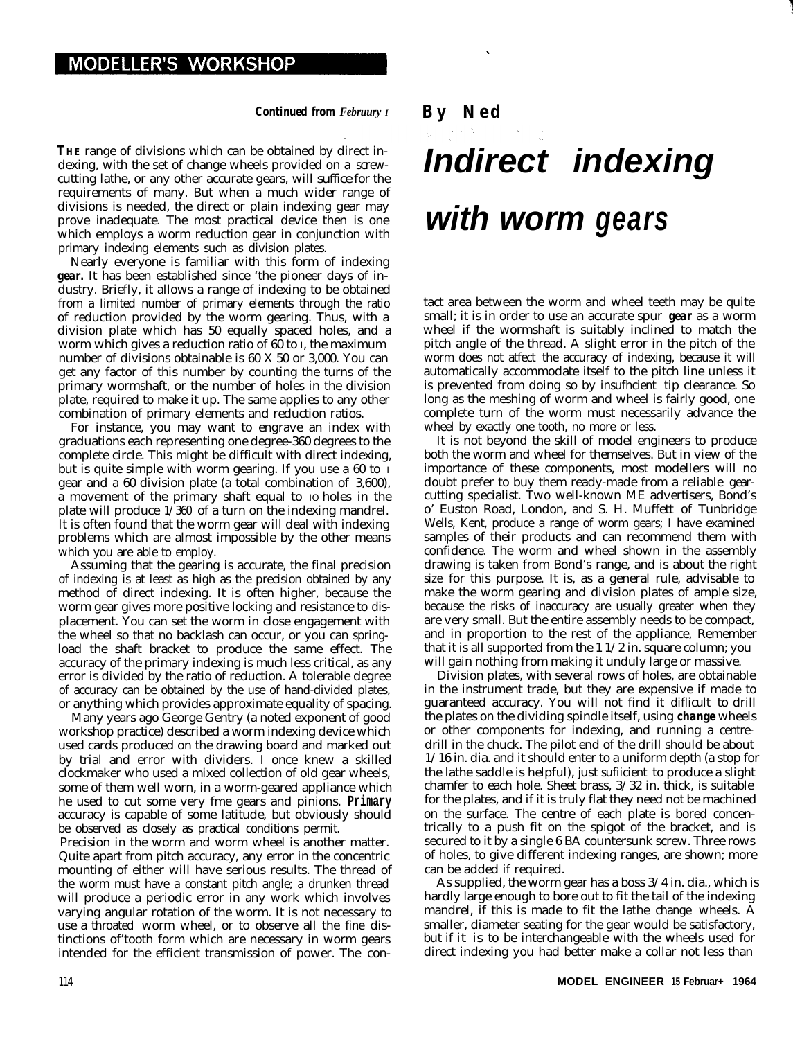## **MODELLER'S WORKSHOP**

## *Continued from Februury I By Ned*

**THE** range of divisions which can be obtained by direct indexing, with the set of change wheels provided on a screwcutting lathe, or any other accurate gears, will suffice for the requirements of many. But when a much wider range of divisions is needed, the direct or plain indexing gear may prove inadequate. The most practical device then is one which employs a worm reduction gear in conjunction with primary indexing elements such as division plates.

Nearly everyone is familiar with this form of indexing *gear.* It has been established since 'the pioneer days of industry. Briefly, it allows a range of indexing to be obtained from a limited number of primary elements through the ratio of reduction provided by the worm gearing. Thus, with a division plate which has 50 equally spaced holes, and a worm which gives a reduction ratio of 60 to I, the maximum number of divisions obtainable is 60 X 50 or 3,000. You can get any factor of this number by counting the turns of the primary wormshaft, or the number of holes in the division plate, required to make it up. The same applies to any other combination of primary elements and reduction ratios.

For instance, you may want to engrave an index with graduations each representing one degree-360 degrees to the complete circle. This might be difficult with direct indexing, but is quite simple with worm gearing. If you use a 60 to I gear and a 60 division plate (a total combination of 3,600), a movement of the primary shaft equal to IO holes in the plate will produce 1/360 of a turn on the indexing mandrel. It is often found that the worm gear will deal with indexing problems which are almost impossible by the other means which you are able to employ.

Assuming that the gearing is accurate, the final precision of indexing is at least as high as the precision obtained by any method of direct indexing. It is often higher, because the worm gear gives more positive locking and resistance to displacement. You can set the worm in close engagement with the wheel so that no backlash can occur, or you can springload the shaft bracket to produce the same effect. The accuracy of the primary indexing is much less critical, as any error is divided by the ratio of reduction. A tolerable degree of accuracy can be obtained by the use of hand-divided plates, or anything which provides approximate equality of spacing.

Many years ago George Gentry (a noted exponent of good workshop practice) described a worm indexing device which used cards produced on the drawing board and marked out by trial and error with dividers. I once knew a skilled clockmaker who used a mixed collection of old gear wheels, some of them well worn, in a worm-geared appliance which he used to cut some very fme gears and pinions. **Primary** accuracy is capable of some latitude, but obviously should be observed as closely as practical conditions permit.

Precision in the worm and worm wheel is another matter. Quite apart from pitch accuracy, any error in the concentric mounting of either will have serious results. The thread of the worm must have a constant pitch angle; a drunken thread will produce a periodic error in any work which involves varying angular rotation of the worm. It is not necessary to use a throated worm wheel, or to observe all the fine distinctions of'tooth form which are necessary in worm gears intended for the efficient transmission of power. The con-

## *Indirect indexing with worm gears*

tact area between the worm and wheel teeth may be quite small; it is in order to use an accurate spur *gear* as a worm wheel if the wormshaft is suitably inclined to match the pitch angle of the thread. A slight error in the pitch of the worm does not atfect the accuracy of indexing, because it will automatically accommodate itself to the pitch line unless it is prevented from doing so by insufhcient tip clearance. So long as the meshing of worm and wheel is fairly good, one complete turn of the worm must necessarily advance the wheel by exactly one tooth, no more or less.

It is not beyond the skill of model engineers to produce both the worm and wheel for themselves. But in view of the importance of these components, most modellers will no doubt prefer to buy them ready-made from a reliable gearcutting specialist. Two well-known ME advertisers, Bond's o' Euston Road, London, and S. H. Muffett of Tunbridge Wells, Kent, produce a range of worm gears; I have examined samples of their products and can recommend them with confidence. The worm and wheel shown in the assembly drawing is taken from Bond's range, and is about the right size for this purpose. It is, as a general rule, advisable to make the worm gearing and division plates of ample size, because the risks of inaccuracy are usually greater when they are very small. But the entire assembly needs to be compact, and in proportion to the rest of the appliance, Remember that it is all supported from the 1 1/2 in. square column; you will gain nothing from making it unduly large or massive.

Division plates, with several rows of holes, are obtainable in the instrument trade, but they are expensive if made to guaranteed accuracy. You will not find it diflicult to drill the plates on the dividing spindle itself, using *change* wheels or other components for indexing, and running a centredrill in the chuck. The pilot end of the drill should be about 1/16 in. dia. and it should enter to a uniform depth (a stop for the lathe saddle is helpful), just sufiicient to produce a slight chamfer to each hole. Sheet brass, 3/32 in. thick, is suitable for the plates, and if it is truly flat they need not be machined on the surface. The centre of each plate is bored concentrically to a push fit on the spigot of the bracket, and is secured to it by a single 6 BA countersunk screw. Three rows of holes, to give different indexing ranges, are shown; more can be added if required.

As supplied, the worm gear has a boss 3/4 in. dia., which is hardly large enough to bore out to fit the tail of the indexing mandrel, if this is made to fit the lathe change wheels. A smaller, diameter seating for the gear would be satisfactory, but if it is to be interchangeable with the wheels used for direct indexing you had better make a collar not less than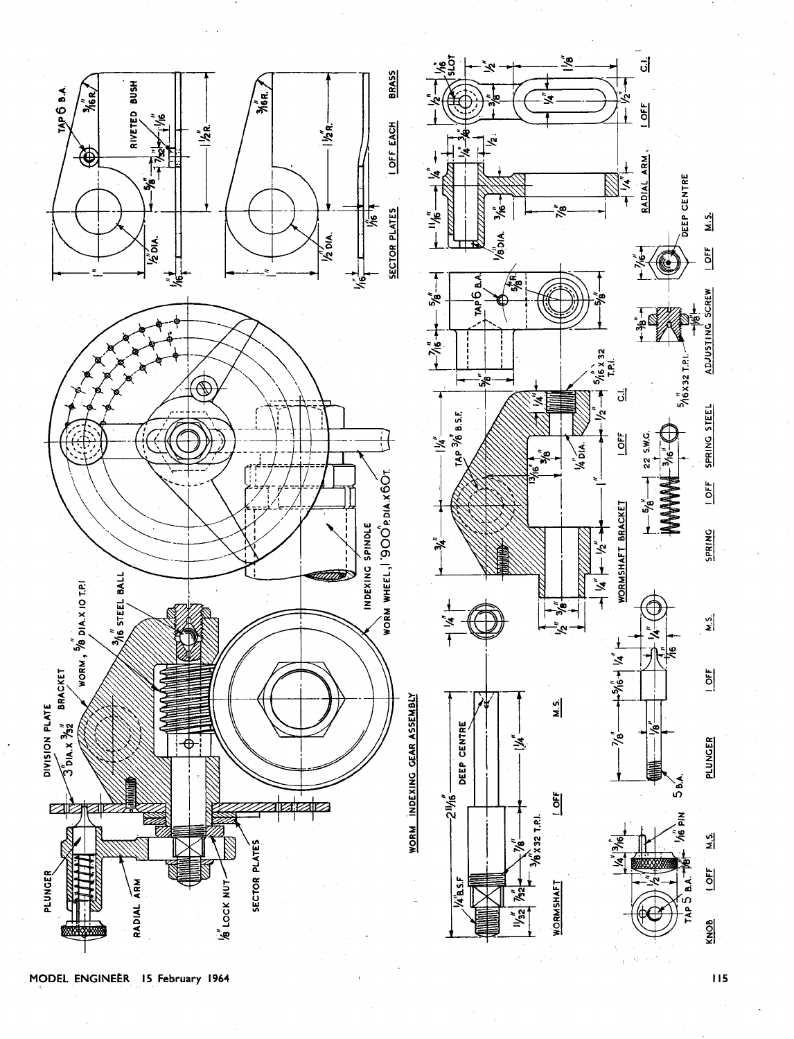

MODEL ENGINEER 15 February 1964

115